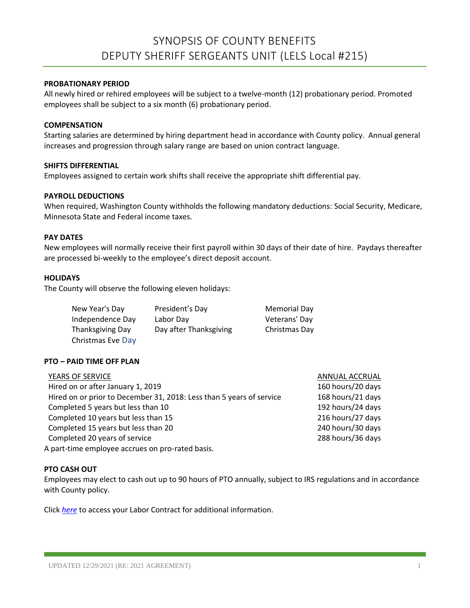#### **PROBATIONARY PERIOD**

All newly hired or rehired employees will be subject to a twelve-month (12) probationary period. Promoted employees shall be subject to a six month (6) probationary period.

#### **COMPENSATION**

Starting salaries are determined by hiring department head in accordance with County policy. Annual general increases and progression through salary range are based on union contract language.

#### **SHIFTS DIFFERENTIAL**

Employees assigned to certain work shifts shall receive the appropriate shift differential pay.

#### **PAYROLL DEDUCTIONS**

When required, Washington County withholds the following mandatory deductions: Social Security, Medicare, Minnesota State and Federal income taxes.

#### **PAY DATES**

New employees will normally receive their first payroll within 30 days of their date of hire. Paydays thereafter are processed bi-weekly to the employee's direct deposit account.

#### **HOLIDAYS**

The County will observe the following eleven holidays:

| New Year's Day    | President's Day        | Memorial Day  |
|-------------------|------------------------|---------------|
| Independence Day  | Labor Day              | Veterans' Day |
| Thanksgiving Day  | Day after Thanksgiving | Christmas Day |
| Christmas Eve Day |                        |               |

## **PTO – PAID TIME OFF PLAN**

| YEARS OF SERVICE                                                     | ANNUAL ACCRUAL    |
|----------------------------------------------------------------------|-------------------|
| Hired on or after January 1, 2019                                    | 160 hours/20 days |
| Hired on or prior to December 31, 2018: Less than 5 years of service | 168 hours/21 days |
| Completed 5 years but less than 10                                   | 192 hours/24 days |
| Completed 10 years but less than 15                                  | 216 hours/27 days |
| Completed 15 years but less than 20                                  | 240 hours/30 days |
| Completed 20 years of service                                        | 288 hours/36 days |
| A part-time employee accrues on pro-rated basis.                     |                   |

## **PTO CASH OUT**

Employees may elect to cash out up to 90 hours of PTO annually, subject to IRS regulations and in accordance with County policy.

Click *[here](https://washnet.co.washington.mn.us/depts/hr/labagre/IntraCon/LELS%20Deputy%20Sheriff%20Sergeant%20Contract.pdf)* to access your Labor Contract for additional information.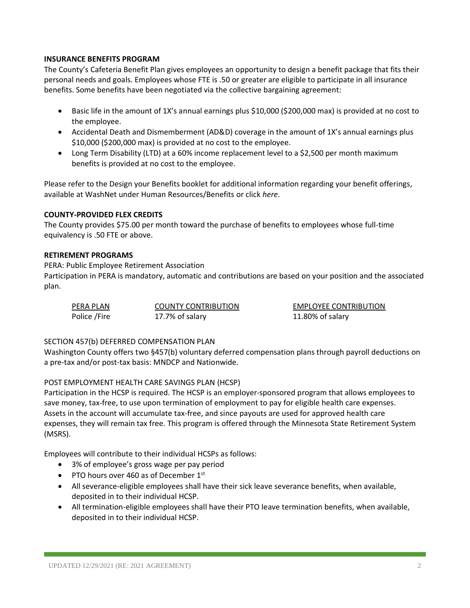## **INSURANCE BENEFITS PROGRAM**

The County's Cafeteria Benefit Plan gives employees an opportunity to design a benefit package that fits their personal needs and goals. Employees whose FTE is .50 or greater are eligible to participate in all insurance benefits. Some benefits have been negotiated via the collective bargaining agreement:

- Basic life in the amount of 1X's annual earnings plus \$10,000 (\$200,000 max) is provided at no cost to the employee.
- Accidental Death and Dismemberment (AD&D) coverage in the amount of 1X's annual earnings plus \$10,000 (\$200,000 max) is provided at no cost to the employee.
- Long Term Disability (LTD) at a 60% income replacement level to a \$2,500 per month maximum benefits is provided at no cost to the employee.

Please refer to the Design your Benefits booklet for additional information regarding your benefit offerings, available at WashNet under Human Resources/Benefits or click *here*.

## **COUNTY-PROVIDED FLEX CREDITS**

The County provides \$75.00 per month toward the purchase of benefits to employees whose full-time equivalency is .50 FTE or above.

# **RETIREMENT PROGRAMS**

PERA: Public Employee Retirement Association

Participation in PERA is mandatory, automatic and contributions are based on your position and the associated plan.

| PERA PLAN    | <b>COUNTY CONTRIBUTION</b> | <b>EMPLOYEE CONTRIBUTION</b> |
|--------------|----------------------------|------------------------------|
| Police /Fire | 17.7% of salary            | 11.80% of salary             |

## SECTION 457(b) DEFERRED COMPENSATION PLAN

Washington County offers two §457(b) voluntary deferred compensation plans through payroll deductions on a pre-tax and/or post-tax basis: MNDCP and Nationwide.

# POST EMPLOYMENT HEALTH CARE SAVINGS PLAN (HCSP)

Participation in the HCSP is required. The HCSP is an employer-sponsored program that allows employees to save money, tax-free, to use upon termination of employment to pay for eligible health care expenses. Assets in the account will accumulate tax-free, and since payouts are used for approved health care expenses, they will remain tax free. This program is offered through the Minnesota State Retirement System (MSRS).

Employees will contribute to their individual HCSPs as follows:

- 3% of employee's gross wage per pay period
- PTO hours over 460 as of December  $1<sup>st</sup>$
- All severance-eligible employees shall have their sick leave severance benefits, when available, deposited in to their individual HCSP.
- All termination-eligible employees shall have their PTO leave termination benefits, when available, deposited in to their individual HCSP.